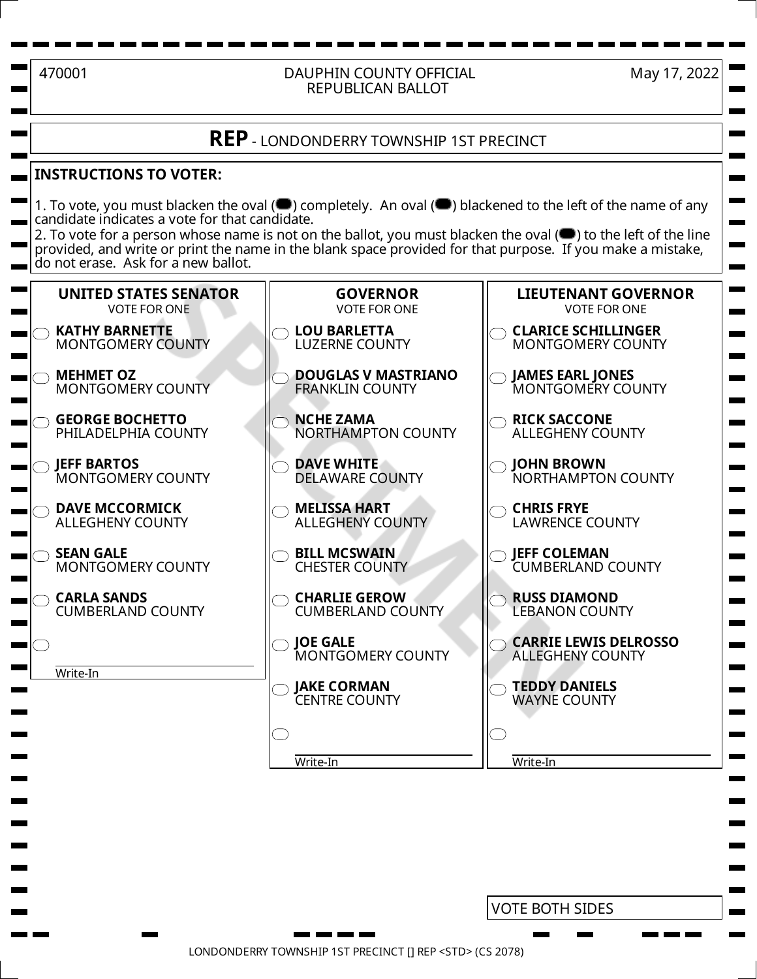## 470001 DAUPHIN COUNTY OFFICIAL REPUBLICAN BALLOT

May 17, 2022

## **REP**- LONDONDERRY TOWNSHIP 1ST PRECINCT

## **INSTRUCTIONS TO VOTER:**

1. To vote, you must blacken the oval (●) completely. An oval (●) blackened to the left of the name of any candidate indicates a vote for that candidate.

2. To vote for a person whose name is not on the ballot, you must blacken the oval  $($ **)** to the left of the line provided, and write or print the name in the blank space provided for that purpose. If you make a mistake, do not erase. Ask for a new ballot.



VOTE BOTH SIDES